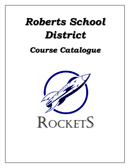# *Roberts School District*

## *Course Catalogue*

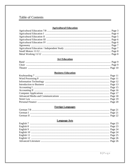## Table of Contents

#### **Agricultural Education**

#### **Art Education**

#### **Business Education**

#### **Foreign Languages**

#### **Language Arts**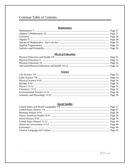## **Continue Table of Contents**

#### **Mathematics**

## **Physical Education**

## **Science**

#### **Social Studies**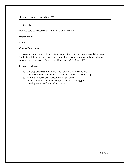## Agricultural Education 7/8

#### **Text Used:**

Various outside resources based on teacher discretion

#### **Prerequisite:**

None

#### **Course Description:**

This course exposes seventh and eighth grade student to the Roberts Ag-Ed program. Students will be exposed to safe shop procedures, wood working tools, wood project construction, Supervised Agriculture Experience (SAE) and FFA.

- 1. Develop proper safety habits when working in the shop area.
- 2. Demonstrate the skills needed to plan and fabricate a shop project.
- 3. Explore a Supervised Agricultural Experience.
- 4. Practice making decisions using the decision making process.
- 5. Develop skills and knowledge of FFA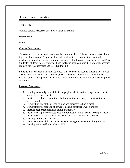## Agricultural Education I

#### **Text Used:**

Various outside resources based on teacher discretion

#### **Prerequisite:**

None

#### **Course Description:**

This course is an introductory vocational agriculture class. A broad range of agricultural topics will be covered. Topics will include leadership development, agricultural mechanics, animal science, agricultural business, natural resource management, and FFA. Students will learn to safely operate hand tools and shop equipment. They will construct projects for FFA activities and FFA fundraising.

Students may participate in FFA activities. This course will require students to establish a Supervised Agricultural Experience (SAE), develop skill for Career Development Events (CDE), participate in Leadership Development Events, and Personal Development Activities.

- 1. Develop knowledge and skills in range plant identification, range management, and range improvements.
- 2. Practice greenhouse operation, plant production, soil analysis, fertilization, and weed control.
- 3. Demonstrate the skills needed to plan and fabricate a shop project.
- 4. Demonstrate the safe use of power tools and construct a wood project.
- 5. Practice beef production and animal husbandry.
- 6. Identify work place competencies and foundation skills needed for employment.
- 7. Identify personal career paths and Supervised Agricultural Experience.
- 8. Develop public speaking skills.
- 9. Demonstrate the ability to make decisions using the decision making process.
- 10. Develop skills and knowledge of FFA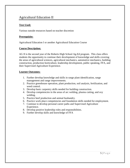## Agricultural Education II

#### **Text Used:**

Various outside resources based on teacher discretion

#### **Prerequisite:**

Agricultural Education I or another Agricultural Education Course

#### **Course Description:**

AG II is the second year of the Roberts High School Ag-Ed program. This class offers students the opportunity to continue their development of knowledge and skills covering the areas of agricultural sciences, agricultural mechanics, automotive mechanics, building construction, production horticulture, leadership development, public speaking, FFA, and their Supervised Agriculture Experience.

- 1. Further develop knowledge and skills in range plant identification, range management and range improvements.
- 2. Practice greenhouse operation, plant production, soil analysis, fertilization, and weed control.
- 3. Develop basic carpentry skills needed for building construction.
- 4. Develop competencies in the areas of arc welding, plasma cutting, and oxy welding.
- 5. Practice beef production and animal husbandry.
- 6. Practice work place competencies and foundation skills needed for employment.
- 7. Continue to develop personal career paths and Supervised Agriculture Experience.
- 8. Develop positive leadership roles and responsibilities.
- 9. Further develop skills and knowledge of FFA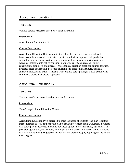## Agricultural Education III

#### **Text Used:**

Various outside resources based on teacher discretion

#### **Prerequisite:**

Agricultural Education I or II

#### **Course Description:**

Agricultural Education III is a combination of applied sciences, mechanical skills, business applications and construction practices to further improve both production agriculture and agribusiness students. Students will participate in a wide variety of activities including internal combustion, alternative energy sources, agriculture construction, crop pests and diseases, hydroponics, irrigation practices, animal genetics, livestock feeds and feeding, personal development, safety in agriculture, financial situation analysis and credit. Students will continue participating in a SAE activity and complete a proficiency award application

## Agricultural Education IV

#### **Text Used:**

Various outside resources based on teacher discretion

#### **Prerequisite:**

Two (2) Agricultural Education Courses

#### **Course Description:**

Agricultural Education IV is designed to meet the needs of students who plan to further their education as well as those who plan to seek employment upon graduation. Students will participate in activities including advanced agribusiness, marketing, agricultural law, precision agriculture, horticulture, animal pests and diseases, and career skills. Students will summarize their SAE (supervised agricultural experience) by applying for their State FFA Degree.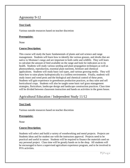## Agronomy 9-12

#### **Text Used:**

Various outside resources based on teacher discretion

#### **Prerequisite:**

None

#### **Course Description:**

This course will study the basic fundamentals of plants and soil science and range management. Students will learn how to identify the various grasses, and shrubs that are native to Montana's range and are important to both cattle and wildlife. They will learn to calculate the amount of feed available on the range and look for indicators as to its health. Students will study various seeding and plant propagation techniques as well as photosynthesis, reproduction, essential plant nutrients, fertilizer and chemical applications. Students will study basic soil types, and various growing media. They will learn how to raise plants hydroponically in a soilless environment. Finally, students will study insect and weed pests and the biological and chemical control of these pests. Students will gain experience in greenhouse production practices, as they raise and sell horticultural crops. Students will also be taught some basic turf grass management strategies, floriculture, landscape design and landscape construction practices. Class time will be divided between classroom instruction and hands on activities in the green house.

## Agricultural Education / Independent Study 11/12

#### **Text Used:**

Various outside resources based on teacher discretion

#### **Prerequisite:**

None

#### **Course Description:**

Students will select and build a variety of woodworking and metal projects. Projects are Students ideas and for student use with the instructors approval. Projects need to be practical and useful in nature. Students will be required to finance the materials used on any personal project. Class time will be greatly hands on in the shop. All students will be encouraged to have a supervised agriculture experience program, and to be involved in FFA activities.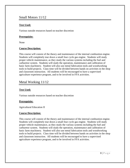## Small Motors 11/12

#### **Text Used:**

Various outside resources based on teacher discretion

#### **Prerequisite:**

None

#### **Course Description:**

This course will consist of the theory and maintenance of the internal combustion engine. Students will completely tear down a small four cycle gas engine. Students will study proper vehicle maintenance, as they study the various systems including the fuel and carburetor system. Students will study the operation, maintenance and calibration of basic farm machinery. Student will also use metal fabrication tools and woodworking tools to build projects. Class time will be divided between hands on activities in the shop and classroom instruction. All students will be encouraged to have a supervised agriculture experience program, and to be involved in FFA activities.

## Metal Working 11/12

#### **Text Used:**

Various outside resources based on teacher discretion

#### **Prerequisite:**

Agricultural Education II

#### **Course Description:**

This course will consist of the theory and maintenance of the internal combustion engine. Students will completely tear down a small four cycle gas engine. Students will study proper vehicle maintenance, as they study the various systems including the fuel and carburetor system. Students will study the operation, maintenance and calibration of basic farm machinery. Student will also use metal fabrication tools and woodworking tools to build projects. Class time will be divided between hands on activities in the shop and classroom instruction. All students will be encouraged to have a supervised agriculture experience program, and to be involved in FFA activities.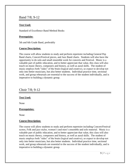## Band 7/8; 9-12

#### **Text Used:**

Standard of Excellence Band Method Books

#### **Prerequisite:**

5th and 6th Grade Band, preferably

#### **Course Description:**

The course will allow students to study and perform repertoire including General Pep Band charts, Concert/Festival pieces, and Jazz Band charts. Students will also have the opportunity to do solo and small ensemble work for concerts and Festival. Music is a valuable part of public education, and to better appreciate that value, this class will also touch on music theory, composers and history, as well as aural skills. The student of music employs both "sides" of the brain (logical and creative), so expect to develop not only into better musicians, but also better students. Individual practice time, sectional work, and group rehearsals are essential to the success of the student individually, and is imperative to building a dynamic group.

## Choir 7/8; 9-12

#### **Text Used:**

None

#### **Prerequisites:**

None

#### **Course Description:**

The course will allow students to study and perform repertoire including Concert/Festival scores, Folk and jazz styles, women's and men's ensemble and solo material. Music is a valuable part of public education, and to better appreciate that value, this class will also touch on music theory, composers and history, as well as aural skills. The student of music employs both "sides" of the brain (logical and creative), so expect to develop not only into better musicians, but also better students. Individual practice time, sectional work, and group rehearsals are essential to the success of the student individually, and is imperative to building a dynamic group.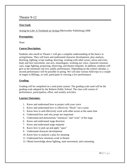## Theatre 9-12

#### **Text Used:**

Acting for Life: A Textbook on Acting (Meriwether Publishing) 2008

#### **Prerequisite:**

None

#### **Course Description:**

Students who enroll in Theatre 1 will get a complete understanding of the basics in acting/drama. They will learn and understand character development, play analysis, blocking, lighting, script reading, directing, working with other actors, intros and exits, body and face movement, one-acts, monologues, working our voice, character emotion, cues, stage fighting, projecting, observing, and theatre etiquette. In addition, students will give at the minimum one live, public performance. Depending on the school calendar, a second performance will be possible in spring. We will take various field trips to a couple of stages in Billings, as well, participate in viewing a live performance.

#### **Grading:**

Grading will be completed on a total point system. The grading scale used will be the grading scale adopted by the Roberts Public School. The class will consist of performance, participation, effort, and weekly activities.

- 1. Know and understand how to project with your voice
- 2. Know and understand how to effectively "block" out a scene
- 3. Know how to and effectively work with other actors at the same time
- 4. Understand how and why props are important
- 5. Understand and demonstrate "entrances" and "exits" of the stage
- 6. Know and understand stage direction
- 7. Know and understand stage etiquette
- 8. Know how to pick up and apply "ques"
- 9. Understand character development
- 10. Know how to analysis a play for meaning
- 11. Understand how emotions work in theatre
- 12. Obtain knowledge about lighting, state movement, and costuming.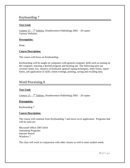## Keyboarding 7

#### **Text Used:**

<u>Century 21 –  $7<sup>th</sup>$  Edition</u>, (Southwestern Publishing) 2002 – 20 copies Various Websites

#### **Prerequisite:**

None

#### **Course Description:**

The course will focus on Keyboarding.

Keyboarding will be taught on computers with general computer skills such as turning on the computer, entering a desired program and backing out. The following units are covered: home row, mastery of keyboard, general typing techniques, letter forms, report forms, job application of skills, timed writings, printing, saving and recalling data.

## Word Processing 8

#### **Text Used:**

<u>Century 21 –  $7<sup>th</sup>$  Edition</u>, (Southwestern Publishing) 2002 – 20 copies

#### **Prerequisite:**

Keyboarding 7

#### **Course Description:**

The course will continue from Keyboarding 7 and move on to application. Programs that will be used are:

Microsoft Office 2007/2010 Animating Programs Internet Search Windows 7

The class will work in conjunction with other classes as well to meet student needs.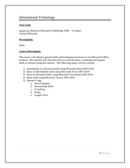## Informational Technology

#### **Text Used:**

Access It! (Business Education Publishing) 2008 – 14 copies Various Materials

#### **Prerequisite:**

None

#### **Course Description:**

The course will enhance general skills and techniques necessary to use Microsoft Office products. The students will also learn how to send electronic e-meetings and acquire skills to research using the internet. The following topics will be covered:

- 1) Intermediate to Advanced skills using Microsoft Word 2007/2010
- 2) Basic to Intermediate skills using Microsoft Excel 2007/2010
- 3) Basic to Advanced skills using Microsoft PowerPoint 2007/2010
- 4) Basic skills using Microsoft Access 2007/2010
- 5) Internet Usage
	- a. Search Engines
	- b. Researching Skills
	- c. E-mailing
	- d. Skype
	- e. Google Drive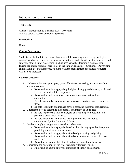## Introduction to Business

#### **Text Used:**

Glencoe: Introduction to Business 2008 – 10 copies Various outside sources and Guest Speakers

#### **Prerequisite:**

None

#### **Course Description:**

Students enrolled in Introduction to Business will be covering a broad range of topics dealing with business and the free enterprise system. Students will be able to identify and apply the strategies for succeeding in a business as well as forming a business plan. During the course students' participate in the state wide Business Challenge. Advertising and marketing of business products along with the management of business resources will also be addressed.

- 1. Understand business principles, types of business ownership, entrepreneurship and requirements.
	- a. Know and be able to apply the principles of supply and demand, profit and loss, private and public companies.
	- b. Know and be able to compare sole proprietorships, partnerships, corporations.
	- c. Be able to identify and manage startup costs, operating expenses, and cash flow.
	- d. Be able to identify and manage payroll costs and insurance requirements.
- 2. Understand how to determine the potential and impact of a business.
	- a. Be able to perform a market analysis, analyze the profit potential, and perform a break-even analysis.
	- b. Be able to identify and manage the regulations with relation to environmental, ethical and social factors.
- 3. Be able to apply strategies for succeeding in business.
	- a. Know and be able to apply the benefits of projecting a positive image and providing added service to customers.
	- b. Know and be able to apply the methods of purchasing and pricing.
	- c. Know and be able to apply the methods and strategies for and effects of marketing.
	- d. Know the environmental, ethical, and social impact of a business.
- 4. Understand the operations of the American free enterprise system.
	- a. Know and be able to apply the principles of supply and demand.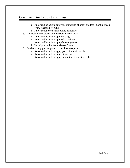## Continue: Introduction to Business

- b. Know and be able to apply the principles of profit and loss (margin, break even, overhead, volume).
- c. Know about private and public companies.
- 5. Understand how stocks and the stock market work
	- a. Know and be able to apply trading
	- b. Know and be able to apply short selling
	- c. Know and be able to apply brokerage fees
	- d. Participate in the Stock Market Game
- 6. Be able to apply strategies to form a business plan
	- a. Know and be able to apply parts of a business plan
	- b. Know and be able to apply financing
	- c. Know and be able to apply formation of a business plan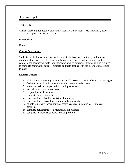## Accounting I

#### **Text Used:**

Glencoe Accounting: Real World Applications & Connections, (McGraw Hill), 2000 – 12 copies plus teacher edition

#### **Prerequisite:**

None

#### **Course Description:**

Students enrolled in Accounting I will complete the basic accounting cycle for a soleproprietorship, discuss cash control and banking, prepare payroll accounting, and complete the accounting cycle for a merchandising corporation. Students will be required to complete homework, quizzes, projects, and tests dealing with the information covered in class.

- 1. each student completing Accounting I will possess the skills to begin Accounting II.
- 2. define an asset, liability, owner's equity, revenue, and expenses
- 3. know the basic and expanded accounting equation
- 4. journalize and post transactions
- 5. prepare financial statements
- 6. complete the accounting cycle
- 7. understand basic banking activities for a business
- 8. understand basic payroll accounting and tax records
- 9. be able to prepare special journals (sales, cash receipts, purchases, and cash payments)
- 10. complete adjustments for a merchandising business
- 11. complete financial statements for a corporation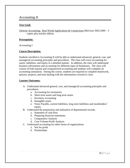## Accounting II

#### **Text Used:**

Glencoe Accounting: Real World Applications & Connections (McGraw Hill) 2000 – 5 copies plus teacher edition

#### **Prerequisite:**

Accounting I

#### **Course Description:**

Students enrolled in Accounting II will be able to understand advanced, general, cost, and managerial accounting principles and procedures. The class will cover accounting for assets, liabilities, and equity in a detailed manner. In addition, the class will understand business information and accounting for different types of businesses. The class will consist of both manual and computerized accounting and students will complete an accounting simulation. During the course, students are required to complete homework, quizzes, projects, and tests dealing with the information covered in class.

- A. Understand advanced general, cost, and managerial accounting principles and procedures.
	- a. Accounting for inventories
	- b. Short term assets and long term assets
	- c. Inventory accounting
	- d. Intangible assets
	- e. Notes Payable, current liabilities, long term liabilities and stockholders' equity.
- B. Understand the preparation and utilization of departmental records.
	- a. Statement of cash flow
	- b. Preparing financial statements.
	- c. Comparative Analysis
	- d. Cost-Volume-Profit Analysis
- C. Understand accounting for other forms of organizations
	- a. Not for profit
	- b. Partnerships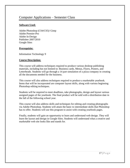## Computer Applications – Semester Class

#### **Software Used:**

Adobe Photoshop (CS4/CS5)/ Gimp Adobe Premier-Pro Adobe In-Design Publisher 2007/2010 Google Sites

#### **Prerequisite:**

Information Technology 9

#### **Course Description:**

This course will address techniques required to produce various desktop publishing materials, including but not limited to: Business cards, Menus, Flyers, Posters, and Letterheads. Students will go through a 14 part simulation of a pizza company in creating all the documents needed for the business.

This course will also address techniques required to produce a marketable yearbook. Items that will be incorporated are computer layout skills, along with various beginning Photoshop editing techniques.

Students will be required to meet deadlines, take photographs, design and layout various assigned pages of the yearbook. The final product will be sold with a distribution date in the fall of the following school year.

This course will also address skills and techniques for editing and creating photographs via Adobe Photoshop. Students will attain the basic to intermediate skills that Photoshop has to offer. Students will use this program to assist with creating yearbook pages.

Finally, students will gain an opportunity to learn and understand web design. They will learn the layout and design in Google Sites. Students will understand what a creative and marketable web site looks like and stands for.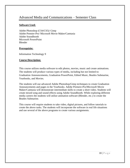## Advanced Media and Communications – Semester Class

#### **Software Used:**

Adobe Photoshop (CS4/CS5)/ Gimp Adobe Premier-Pro/ Microsoft Movie Maker/Camtasia Adobe Soundbooth Microsoft PowerPoint Blender

#### **Prerequisite:**

Information Technology 9

#### **Course Description:**

This course utilizes media software to edit photos, movies, music and create animations. The students will produce various types of media, including but not limited to: Graduation Announcements, Graduation PowerPoint, Edited Music, Beatles Submarine, Yearbooks, and Movies.

The students will use advanced Adobe Photoshop/Gimp techniques to create Graduation Announcements and pages in the Yearbooks. Adobe Premere-Pro/Microsoft Movie Maker/Camtasia will demonstrate intermediate skills to create a short video. Students will create mixed song and sound effects using Adobe Soundbooth. While exploring different media careers the students will utilize animation software (Blender, etc.) to create the Beatles Submarine.

This course will require students to take video, digital pictures, and follow tutorials to create the above tasks. The students will incorporate the software in real life situations and use several of the above programs to create various assignments.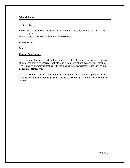## Street Law

#### **Text Used:**

Street Law – A Course in Practice Law  $5<sup>th</sup>$  Edition, (West Publishing Co.) 1994 – 18 copies Various outside materials and community resources

#### **Prerequisite:**

None

#### **Course Description:**

The course will address practical laws in everyday life. The course is designed to provide students the ability to analyze, evaluate, and in some situations, resolve legal disputes. The text covers problems dealing with the most current law related issues such as guns, gangs, hate crimes, etc.

The class should provide practical information and problem solving opportunities that develop the student's knowledge and skills necessary for survival in our law-saturated society.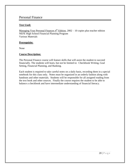## Personal Finance

#### **Text Used:**

Managing Your Personal Finances  $4<sup>th</sup>$  Edition, 2002 – 10 copies plus teacher edition NEFE High School Financial Planning Program Various Materials

#### **Prerequisite:**

None

#### **Course Description:**

The Personal Finance course will feature skills that will assist the student to succeed financially. The students will learn, but not be limited to: Checkbook Writing, Goal Setting, Financial Planning, and Banking.

Each student is required to take careful notes on a daily basis, recording them in a special notebook for this class only. Notes must be organized in an orderly fashion along with handouts and other materials. Students will be responsible for all assigned reading from the text book and other sources. Finally the course requires the student to be able to balance a checkbook and have intermediate understanding of financial literacy.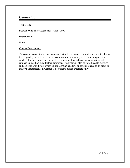## German 7/8

#### **Text Used:**

Deutsch Wird Hier Gesprochen (Allen) 2000

#### **Prerequisite:**

None

#### **Course Description:**

This course, consisting of one semester during the  $7<sup>th</sup>$  grade year and one semester during the 8<sup>th</sup> grade year, intends to serve as an introductory survey of German language and world cultures. During each semester, students will learn basic speaking skills, with emphasis placed on introductory grammar. Students will also be introduced to cultures and societies worldwide, which utilize German as a first or official language. In order to achieve academically in German 7-8, students must participate fully.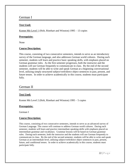## German I

#### **Text Used:**

Komm Mit Level 1 (Holt, Rinehart and Winston) 1995 – 13 copies

#### **Prerequisite:**

None

#### **Course Description:**

This course, consisting of two consecutive semesters, intends to serve as an introductory survey of the German language, and also addresses German world cultures. During each semester, students will learn and practice basic speaking skills, with emphasis placed on German grammar rules. As the first semester progresses, both the instructor and the students will use German frequently to communicate in class. By the end of the second semester, students will be able to write and speak German at a beginning conversational level, utilizing simply structured subject/verb/direct object sentences in past, present, and future tenses. In order to achieve academically in this course, students must participate fully.

## German II

#### **Text Used:**

Komm Mit Level 2 (Holt, Rinehart and Winston) 1995 – 5 copies

#### **Prerequisite:**

German I

#### **Course Description:**

This course, consisting of two consecutive semesters, intends to serve as an advanced survey of German Language. The course will continue to address German world cultures. During each semester, students will learn and practice intermediate speaking skills with emphasis placed on intermediate grammar and vocabulary. Grammar lessons will be based on German grammar rules. During each semester, both the instructor and the students will use German frequently to communicate in class. By the end of the second semester, students will be able to write and speak German at an intermediate level, utilizing subject/verb/direct object sentences in past, present, future, and conditional tenses. In order to achieve academically in this course, students must participate fully.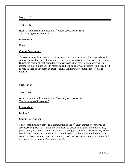#### **Text Used:**

Heath Grammar and Composition, 7<sup>th</sup> Grade (D.C. Heath) 1986 The Language of Literature 7

#### **Prerequisite**:

None

#### **Course Description:**

This course intends to serve as an introductory survey of secondary language arts, with emphasis placed on English grammar (usage, punctuation) and writing skills (mechanics). During the course of each semester, various novels, short stories, and poetry will be introduced in combination with rhetorical and critical analysis. Students will be required to read in class and at home in order to fulfill the literature component of  $7<sup>th</sup>$  grade English.

## English 8

#### **Text Used:**

Heath Grammar and Composition, 8<sup>th</sup> Grade (D.C Heath) 1986 The Language of Literature 8

#### **Prerequisite:**

English 7

#### **Course Description:**

This course intends to serve as a continuation of the  $7<sup>th</sup>$  grade introductory survey of secondary language arts. Emphasis will again be placed on English grammar (usage, punctuation) and writing skills (mechanics). During the course of each semester, various novels, short stories, and poetry will be introduced in combination with rhetorical and critical analysis. Students will be required to read in class and at home in order to fulfill the literature component of  $8<sup>th</sup>$  grade English.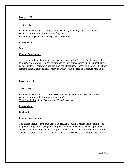#### **Text Used:**

Elements of Writing:  $2<sup>nd</sup>$  Course (Holt, Rinehart, Winston) 1987 – 15 copies Heath Grammar and Composition, 9<sup>th</sup> grade Patterns in Lit (Scott Foresman) 1989 – 20 copies

#### **Prerequisite:**

None

#### **Course Description:**

The course includes language usage, vocabulary, spelling, reading and writing. The language and grammar usage will emphasize correct mechanics, such as punctuation, correct sentence, paragraph and composition structures. These will be applied as they relate to student compositions, many of which will be based on literature read in class.

## English 10

#### **Text Used:**

Elements of Writing: Third Course (Holt, Rinehart, Winston) 1986 – 17 copies Heath Grammar and Composition,  $10^{th}$  grade Traditions In Lit (Scott, Foresman) 1989 – 21 copies

#### **Prerequisite:**

English 9

#### **Course Description:**

The course includes language usage, vocabulary, spelling, reading and writing. The language and grammar usage will emphasize correct mechanics, such as punctuation, correct sentence, paragraph and composition structures. These will be applied as they relate to student compositions, many of which will be based on literature read in class.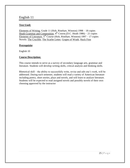#### **Text Used:**

Elements of Writing, Grade 11 (Holt, Rinehart, Winston) 1998 – 18 copies Heath Grammar and Composition, 4<sup>th</sup> Course (D.C. Heath 1986) – 21 copies Elements of Literature,  $5<sup>th</sup>$  Course (Holt, Rinehart, Winston) 1997 – 17 copies Novels: The Crucible, The Scarlet Letter, Grapes of Wrath, Huck Finn

#### **Prerequisite**:

English 10

#### **Course Description:**

This course intends to serve as a survey of secondary language arts, grammar and literature. Students will develop writing skills, critical analysis and thinking skills.

Rhetorical skill – the ability to successfully write, revise and edit one's work, will be addressed. During each semester, students will read a variety of American literature including poetry, short stories, plays and novels, and will learn to analyze literature. Students will be expected to read assigned novels and possibly novels of their own choosing approved by the instructor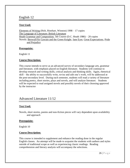#### **Text Used:**

Elements of Writing (Holt, Rinehart, Winston) 1998 – 17 copies The Language of Literature: British Literature Heath Grammar and Composition, 5th Course (D.C. Heath 1986) – 20 copies Novels: Beowulf/Sir Gawain and the Green Knight, Jane Eyre, Great Expectations, Pride and Prejudice

#### **Prerequisite:**

English 11

#### **Course Description:**

This course intends to serve as an advanced survey of secondary language arts, grammar and literature, with emphasis placed on English literature. Students will continue to develop research and writing skills, critical analysis and thinking skills. Again, rhetorical skill – the ability to successfully write, revise and edit one's work, will be addressed at the post-secondary level. During each semester, students will read a variety of literature including poetry, short stories, plays and novels, and will analyze literature. Students will be expected to read assigned novels and possibly novels of their choosing approved by the instructor

## Advanced Literature 11/12

#### **Text Used:**

Novels, short stories, poems and non-fiction pieces will vary dependent upon availability and approach

#### **Prerequisite:**

English 10

#### **Course Description:**

This course is intended to supplement and enhance the reading done in the regular English classes. An attempt will be made to acquaint the students with authors and styles outside of traditional scope as well as experiencing classic readings. Reading comprehension and literary analysis will accompany the selections.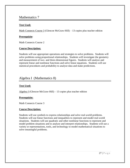## Mathematics 7

#### **Text Used:**

Math Connects Course 3 (Glencoe McGraw-Hill) – 13 copies plus teacher edition

#### **Prerequisite**:

Math Connects Course 2

#### **Course Description:**

Students will use appropriate operations and strategies to solve problems. Students will solve problems using proportional relationships. Students will investigate the geometry and measurement of two- and three-dimensional figures. Students will analyze and represent linear and nonlinear functions and solve linear equations. Students will use statistical procedures and probability to analyze data and make predictions.

## Algebra I (Mathematics 8)

#### **Text Used:**

 $Algebra I$  (Glencoe McGraw-Hill) – 13 copies plus teacher edition

#### **Prerequisite:**

Math Connects Course 3

#### **Course Description:**

Students will use symbols to express relationships and solve real-world problems. Students will use linear functions and inequalities to represent and model real-world situations. Students will use quadratic and other nonlinear functions to represent and model problem situations and to analyze and interpret relationships. Students will use a variety or representations, tools, and technology to model mathematical situations to solve meaningful problems.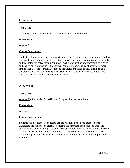## **Geometry**

#### **Text Used:**

Geometry (Glencoe McGraw-Hill) – 15 copies plus teacher edition

#### **Prerequisite:**

Algebra I

#### **Course Description:**

Students will understand basic geometric terms, such as lines, planes, and angles and how they can be used to prove theorems. Students will use a variety of representations, tools, and technology to solve meaningful problems by representing and transforming figures and analyzing relationships. Students will explore proportional relationships between similar triangles, the relationships among the angles and sides of right triangles, and transformations in to coordinate plane. Students will calculate measures in two- and three-dimensions and use the properties of circles.

## Algebra II

#### **Text Used:**

Algebra II (Glencoe McGraw-Hill) – 20 copies plus teacher edition

#### **Prerequisite:**

Algebra I

#### **Course Description:**

Students will use algebraic concepts and the relationships among them to better understand the structure of algebra. Students use functions and equations as means for analyzing and understanding a broad variety of relationships. Students will use a variety of representations, tools, and technology to model mathematical situations to solve meaningful problems. Students will learn about trigonometric functions, graphs, and identities.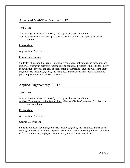## Advanced Math/Pre-Calculus 11/12

#### **Text Used:**

Algebra II (Glencoe McGraw-Hill) – 20 copies plus teacher edition Advanced Mathematical Concepts (Glencoe McGraw-Hill) – 8 copies plus teacher edition

#### **Prerequisite:**

Algebra I and Algebra II

#### **Course Description:**

Students will use multiple representations, technology, applications and modeling, and numerical fluency in discrete problem-solving contexts. Students will use trigonometry in navigation, physics, and construction, among other fields. Students will learn about trigonometric functions, graphs, and identities. Students will learn about logarithms, polar graph system, and statistical analysis.

## Applied Trigonometry 11/12

#### **Text Used:**

Algebra II (Glencoe McGraw-Hill) – 20 copies plus teacher edition Analytic Trigonometry with Applications (Barnett-Ziegler-Byleen) – 15 copies plus teacher edition

#### **Prerequisite:**

Algebra I and Algebra II

#### **Course Description:**

Students will learn about trigonometric functions, graphs, and identities. Students will use trigonometric principles to explore, design, and solve real world problems. Students will use trigonometry in physics, engineering, music, and statistical analysis.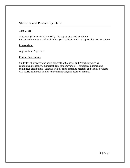## Statistics and Probability 11/12

#### **Text Used:**

Algebra II (Glencoe McGraw-Hill) – 20 copies plus teacher edition Introductory Statistics and Probability (Blakeslee, Chinn) – 5 copies plus teacher edition

#### **Prerequisite:**

Algebra I and Algebra II

#### **Course Description:**

Students will discover and apply concepts of Statistics and Probability such as conditional probability, numerical data, random variables, functions, binomial and continuous distribution. Students will discover sampling methods and errors. Students will utilize estimation in their random sampling and decision making.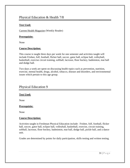## Physical Education & Health 7/8

#### **Text Used:**

Current Health Magazine (Weekly Reader)

#### **Prerequisite:**

None

#### **Course Description:**

This course is taught three days per week for one semester and activities taught will include Frisbee, folf, football, flicker ball, soccer, gator ball, eclipse ball, volleyball, basketball, exercise circuit training, softball, lacrosse, floor hockey, badminton, mat ball and dodge ball.

Two days a week are spent on discussing health topics such as prevention, nutrition, exercise, mental health, drugs, alcohol, tobacco, disease and disorders, and environmental issues which pertain to this age group.

## Physical Education 9

#### **Text Used:**

None

#### **Prerequisite:**

None

#### **Course Description:**

Activities taught in Freshman Physical Education include: Frisbee, folf, football, flicker ball, soccer, gator ball, eclipse ball, volleyball, basketball, exercise, circuit training, softball, lacrosse, floor hockey, badminton, mat ball, dodge ball, pickle ball, and a dance unit.

Grades are determined by points for daily participation, skills testing and written testing.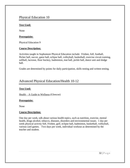#### **Text Used:**

None

#### **Prerequisite:**

Physical Education 9

#### **Course Description:**

Activities taught in Sophomore Physical Education include: Frisbee, folf, football, flicker ball, soccer, gator ball, eclipse ball, volleyball, basketball, exercise circuit training, softball, lacrosse, floor hockey, badminton, mat ball, pickle ball, dance unit and dodge ball.

Grades are determined by points for daily participation, skills testing and written testing.

## Advanced Physical Education/Health 10-12

#### **Text Used:**

Health – A Guide to Wellness (Glencoe)

#### **Prerequisite:**

None

#### **Course Description:**

One day per week, talk about various health topics, such as nutrition, exercise, mental health, drugs alcohol, tobacco, diseases, disorders and environmental issues. 1 day per week physical activity folf, Frisbee, golf, eclipse ball, badminton, basketball, volleyball, various card games. Two days per week, individual workout as determined by the teacher and student.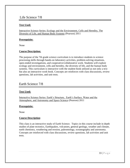## Life Science 7/8

#### **Text Used:**

Interactive Science Series: Ecology and the Environment, Cells and Heredity, The Diversity of Life, and Human Body Systems (Pearson) 2011

#### **Prerequisite:**

None

#### **Course Description:**

The purpose of the 7th grade science curriculum is to introduce students to science processing skills through hands-on laboratory activities, problem-solving situations, open-ended investigations, and cooperative/collaborative work. Students will explore ecology and environment, cells and heredity, the diversity of life, and the human body systems. This curriculum is interactive with the student book utilized as not only a text but also an interactive work book. Concepts are reinforces with class discussions, review questions, lab activities, and unit tests.

#### Earth Science 7/8

#### **Text Used:**

Interactive Science Series: Earth's Structure, Earth's Surface, Water and the Atmosphere, and Astronomy and Space Science (Pearson) 2011

#### **Prerequisite:**

None

#### **Course Description**:

This class is an interactive study of Earth Science. Topics in this course include in depth studies of plate tectonics, Earthquakes, volcanoes, general geology, weather and climate, earth chemistry, weathering and erosion, paleontology, oceanography and astronomy. Concepts are reinforced with class discussions, review questions, lab activities and unit tests.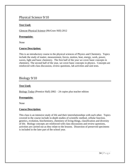## Physical Science 9/10

#### **Text Used:**

Glencoe Physical Science (McGraw Hill) 2012

#### **Prerequisite:**

None

#### **Course Description:**

This is an introductory course to the physical sciences of Physics and Chemistry. Topics include the study of matter, measurement, forces, motion, heat, energy, work, power, waves, light and basic chemistry. The first half of the year we cover basic concepts in chemistry. The second half of the year, we cover basic concepts in physics. Concepts are reinforced with class discussion, review questions, lab activities and unit tests.

## Biology 9/10

#### **Text Used:**

Biology Today (Prentice Hall) 2002 – 24 copies plus teacher edition

#### **Prerequisite:**

None

#### **Course Description:**

This class is an intensive study of life and their interrelationships with each other. Topics covered in the course include in-depth studies of scientific method, cellular function, genetics, evolution, biochemistry, chemistry of living things, classification and diversity of life. Biology concepts are reinforced with class discussions and review questions, activities are carried out as they relate to the lessons. Dissection of preserved specimens is included in the later part of the school year.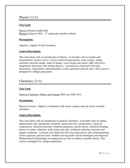## Physics 11/12

#### **Text Used:**

Physics (Prentice Hall) 2002 Physics (Glenco) 1992 – 17 copies plus teachers edition

#### **Prerequisite:**

Algebra I, Algebra II and Geometry

#### **Course Description:**

This class deals with an introduction to Physics. It includes units on matter and measurement, motion, forces, vectors, universal gravitation, work, energy, simple machines, thermal energy, states of matter, wave energy and sound, light, electricity, magnetism, electronics and nuclear physics. Concepts are reinforced with class discussions, experiments, demonstrations, review questions and unit tests. This course is designed for college preparation.

## Chemistry 11/12

#### **Text Used:**

Glencoe Chemistry: Matter and Change (McGraw Hill) 2013

#### **Prerequisite:**

Physical Science, Algebra I, familiarity with metric system, and use of the scientific calculator

#### **Course Description:**

This class deals with an introduction to general Chemistry. It includes units on matter, measurement and calculations, elements, atoms and ions, nomenclature, chemical composition, chemical reactions, chemical quantities, atomic theory, chemical bonding, phases of matter, solutions, acids, bases and salts, oxidation-reduction reactions and organic chemistry. Concepts are reinforced with class discussions, labs, demonstrations, review questions and unit tests. Problem solving skills will be developed and enhanced. Mathematical relationships are emphasized as well as modern scientific theory. This course is designed for college preparation.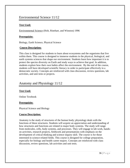## Environmental Science 11/12

#### **Text Used:**

Environmental Science (Holt, Rinehart, and Winston) 1996

#### **Prerequisite:**

Biology, Earth Science, Physical Science

#### **Course Description:**

This class is designed for students to learn about ecosystems and the organisms that live within them. This course is designed to immerse students in the physical, biological, and earth systems sciences that shape our environment. Students learn how important it is to protect the species diversity on Earth and study ways to achieve that goal. In addition, students explore how their own habits affect the environment. By the end of the course, students will have developed scientific literacy in order to participate effectively in a democratic society. Concepts are reinforced with class discussion, review questions, lab activities, and unit tests or projects.

## Anatomy and Physiology 11/12

#### **Text Used:**

Online Textbook

#### **Prerequisite:**

Physical Science and Biology

#### **Course Description:**

Anatomy is the study of structures of the human body; physiology deals with the functions of these structures. Students will acquire an appreciation and understanding of how structures and functions are related in major body systems. The study will range from molecules, cells, body systems, and processes. They will engage in lab work, handson activities, research projects, fieldwork and presentations with emphasis on the development of critical thinking and science inquiry skill. The course is for those interested in science-related fields. This course is designed for college preparation, especially for biology and health career majors. Concepts are reinforced with class discussion, review questions, lab activities and unit tests.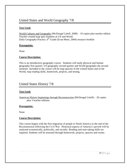## United States and World Geography 7/8

#### **Text Used:**

World Cultures and Geography (McDougal Littell, 2008) – 19 copies plus teacher edition Teacher created map quiz booklets of US and World Daily Geography Practice, 6<sup>th</sup> Grade (Evan-Moor, 2004) resource booklet

#### **Prerequisite:**

None

#### **Course Description:**

This is an introductory geography course. Students will study physical and human geography first quarter, US geography second quarter and World geography the second semester. Included in the course will be map quizzes of the United States and of the World, map reading skills, homework, projects, and testing.

## United States History 7/8

#### **Text Used:**

American History beginnings through Reconstruction (McDougal Littell) – 20 copies plus 3 teacher editions

#### **Prerequisite:**

None

#### **Course Description:**

This course begins with the first migration of people to North America to the end of the Reconstruction following the Civil War. Historical aspects of America's growth will be analyzed economically, politically, and socially. Reading and note-taking skills are required. Students will be assessed through homework, projects, quizzes and exams.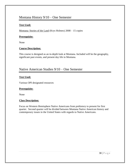## Montana History 9/10 – One Semester

#### **Text Used:**

Montana: Stories of the Land (Krys Holmes) 2008 – 15 copies

#### **Prerequisite:**

None

#### **Course Description:**

This course is designed as an in-depth look at Montana. Included will be the geography, significant past events, and present day life in Montana.

## Native American Studies 9/10 – One Semester

#### **Text Used:**

Various OPI designated resources

#### **Prerequisite:**

None

#### **Class Description:**

Focus on Western Hemisphere Native Americans from prehistory to present for first quarter. Second quarter will be divided between Montana Native American history and contemporary issues in the United States with regards to Native Americans.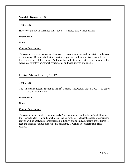## World History 9/10

#### **Text Used:**

History of the World (Prentice Hall) 2008 – 19 copies plus teacher edition.

#### **Prerequisite:**

None

#### **Course Description:**

This course is a basic overview of mankind's history from our earliest origins to the Age of Discovery. Reading the text and various supplemental handouts is expected to meet the requirements of this course. Additionally, students are expected to participate in daily activities, complete homework assignments and pass quizzes and exams.

## United States History 11/12

#### **Text Used:**

The Americans: Reconstruction to the  $21<sup>st</sup>$  Century (McDougall Littell, 2009) – 22 copies plus teacher edition

#### **Prerequisite:**

None

#### **Course Description:**

This course begins with a review of early American history and fully begins following the Reconstruction Era and concludes in the current era. Historical aspects of America's growth will be analyzed economically, politically, and socially. Students are required to read the text and various supplemental handouts, as well as keep notes from class lectures.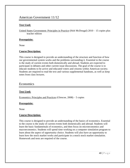## American Government 11/12

#### **Text Used:**

United States Government: Principles in Practice (Holt McDougal) 2010 – 15 copies plus teacher edition

#### **Prerequisite:**

None

#### **Course Description:**

This course is designed to provide an understanding of the structure and function of how our governmental system works and the problems surrounding it. Essential to the course is the study of current events both domestically and abroad. Students are expected to participate in debates and other current issue discussions. The goal of the course is to educate students to be active and educated voters and citizens within American society. Students are required to read the text and various supplemental handouts, as well as keep notes from class lectures.

#### Economics

#### **Text Used:**

Economics: Principles and Practices (Glencoe, 2008) – 5 copies

#### **Prerequisite:**

None

#### **Course Description:**

This course is designed to provide an understanding of the basics of economics. Essential to the course is the study of current events both domestically and abroad. Students will learn the basic fundamentals of economics, and then focus on microeconomics and macroeconomics. Students will spend time working on a computer simulation program to learn about the aspect of opportunity choice. Students will also have an opportunity to learn how the stock market works and participate in a mock stock market simulation. Homework and tests are required of the course.